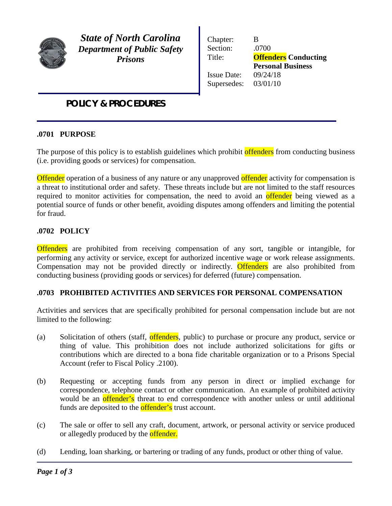

*State of North Carolina Department of Public Safety Prisons*

Chapter: B Section: .0700 Title: **Offenders Conducting Personal Business**  Issue Date: 09/24/18 Supersedes: 03/01/10

# *POLICY & PROCEDURES*

## **.0701 PURPOSE**

The purpose of this policy is to establish guidelines which prohibit offenders from conducting business (i.e. providing goods or services) for compensation.

**Offender** operation of a business of any nature or any unapproved **offender** activity for compensation is a threat to institutional order and safety. These threats include but are not limited to the staff resources required to monitor activities for compensation, the need to avoid an **offender** being viewed as a potential source of funds or other benefit, avoiding disputes among offenders and limiting the potential for fraud.

## **.0702 POLICY**

**Offenders** are prohibited from receiving compensation of any sort, tangible or intangible, for performing any activity or service, except for authorized incentive wage or work release assignments. Compensation may not be provided directly or indirectly. Offenders are also prohibited from conducting business (providing goods or services) for deferred (future) compensation.

#### **.0703 PROHIBITED ACTIVITIES AND SERVICES FOR PERSONAL COMPENSATION**

Activities and services that are specifically prohibited for personal compensation include but are not limited to the following:

- (a) Solicitation of others (staff, offenders, public) to purchase or procure any product, service or thing of value. This prohibition does not include authorized solicitations for gifts or contributions which are directed to a bona fide charitable organization or to a Prisons Special Account (refer to Fiscal Policy .2100).
- (b) Requesting or accepting funds from any person in direct or implied exchange for correspondence, telephone contact or other communication. An example of prohibited activity would be an **offender's** threat to end correspondence with another unless or until additional funds are deposited to the **offender's** trust account.
- (c) The sale or offer to sell any craft, document, artwork, or personal activity or service produced or allegedly produced by the **offender**.
- (d) Lending, loan sharking, or bartering or trading of any funds, product or other thing of value.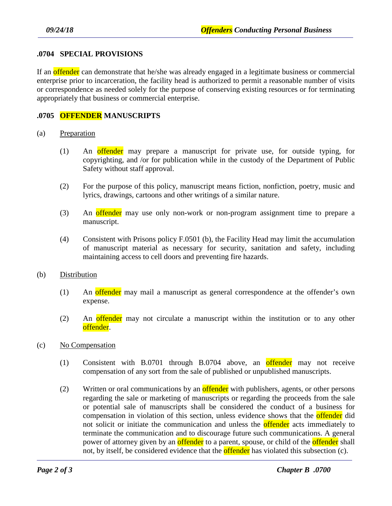## **.0704 SPECIAL PROVISIONS**

If an **offender** can demonstrate that he/she was already engaged in a legitimate business or commercial enterprise prior to incarceration, the facility head is authorized to permit a reasonable number of visits or correspondence as needed solely for the purpose of conserving existing resources or for terminating appropriately that business or commercial enterprise.

## **.0705 OFFENDER MANUSCRIPTS**

- (a) Preparation
	- (1) An offender may prepare a manuscript for private use, for outside typing, for copyrighting, and /or for publication while in the custody of the Department of Public Safety without staff approval.
	- (2) For the purpose of this policy, manuscript means fiction, nonfiction, poetry, music and lyrics, drawings, cartoons and other writings of a similar nature.
	- (3) An offender may use only non-work or non-program assignment time to prepare a manuscript.
	- (4) Consistent with Prisons policy F.0501 (b), the Facility Head may limit the accumulation of manuscript material as necessary for security, sanitation and safety, including maintaining access to cell doors and preventing fire hazards.
- (b) Distribution
	- (1) An offender may mail a manuscript as general correspondence at the offender's own expense.
	- (2) An offender may not circulate a manuscript within the institution or to any other offender.
- (c) No Compensation
	- (1) Consistent with B.0701 through B.0704 above, an offender may not receive compensation of any sort from the sale of published or unpublished manuscripts.
	- (2) Written or oral communications by an offender with publishers, agents, or other persons regarding the sale or marketing of manuscripts or regarding the proceeds from the sale or potential sale of manuscripts shall be considered the conduct of a business for compensation in violation of this section, unless evidence shows that the **offender** did not solicit or initiate the communication and unless the **offender** acts immediately to terminate the communication and to discourage future such communications. A general power of attorney given by an offender to a parent, spouse, or child of the offender shall not, by itself, be considered evidence that the **offender** has violated this subsection (c).